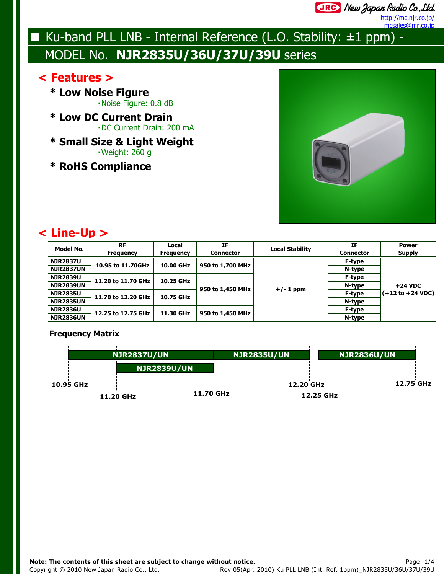JRC New Japan Radio Co., Ltd.

http://mc.njr.co.jp/ ncsales@njr.co.jp

# Ku-band PLL LNB - Internal Reference (L.O. Stability:  $\pm 1$  ppm) -MODEL No. **NJR2835U/36U/37U/39U** series

## **< Features >**

**\* Low Noise Figure**・Noise Figure: 0.8 dB

- **\* Low DC Current Drain**・DC Current Drain: 200 mA
- **\* Small Size & Light Weight**・Weight: 260 g
- **\* RoHS Compliance**



## **< Line-Up >**

| Model No.        | <b>RF</b><br><b>Frequency</b> | Local<br><b>Frequency</b> | ΙF<br><b>Connector</b> | <b>Local Stability</b> | ΙF<br><b>Connector</b> | <b>Power</b><br><b>Supply</b>       |
|------------------|-------------------------------|---------------------------|------------------------|------------------------|------------------------|-------------------------------------|
| <b>NJR2837U</b>  |                               | 10.00 GHz                 | 950 to 1,700 MHz       | $+/- 1$ ppm            | F-type                 | $+24$ VDC                           |
| <b>NJR2837UN</b> | 10.95 to 11.70GHz             |                           |                        |                        | N-type                 |                                     |
| <b>NJR2839U</b>  | 11.20 to 11.70 GHz            | 10.25 GHz                 | 950 to 1,450 MHz       |                        | F-type                 |                                     |
| <b>NJR2839UN</b> |                               |                           |                        |                        | N-type                 |                                     |
| <b>NJR2835U</b>  | 11.70 to 12.20 GHz            | 10.75 GHz                 |                        |                        | F-type                 | $(+12 \text{ to } +24 \text{ VDC})$ |
| <b>NJR2835UN</b> |                               |                           |                        |                        | N-type                 |                                     |
| <b>NJR2836U</b>  | 12.25 to 12.75 GHz            | 11.30 GHz                 | 950 to 1,450 MHz       |                        | F-type                 |                                     |
| <b>NJR2836UN</b> |                               |                           |                        |                        | N-type                 |                                     |

#### **Frequency Matrix**

|           | <b>NJR2837U/UN</b> |                    | <b>NJR2835U/UN</b> | <b>NJR2836U/UN</b> |
|-----------|--------------------|--------------------|--------------------|--------------------|
|           |                    | <b>NJR2839U/UN</b> |                    |                    |
| 10.95 GHz |                    |                    | 12.20 GHz          | 12.75 GHz          |
|           | 11.20 GHz          | 11.70 GHz          |                    | 12.25 GHz          |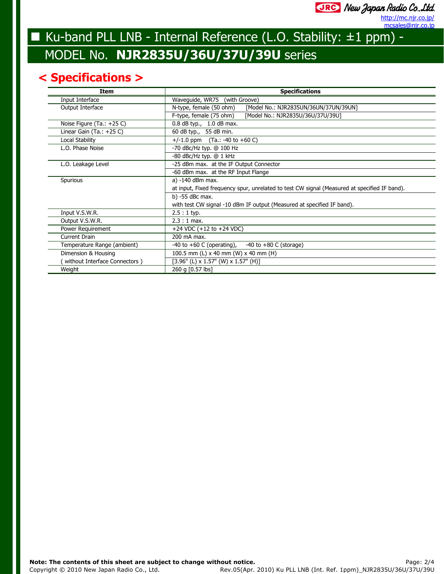## URG New Japan Radio Co., Ltd.

mcsales@njr.co.jp http://mc.njr.co.jp/

# Ku-band PLL LNB - Internal Reference (L.O. Stability: ±1 ppm) -MODEL No. **NJR2835U/36U/37U/39U** series

## **< Specifications >**

| Item                          | <b>Specifications</b>                                                                        |  |  |
|-------------------------------|----------------------------------------------------------------------------------------------|--|--|
| Input Interface               | Waveguide, WR75 (with Groove)                                                                |  |  |
| Output Interface              | [Model No.: NJR2835UN/36UN/37UN/39UN]<br>N-type, female (50 ohm)                             |  |  |
|                               | F-type, female (75 ohm)<br>[Model No.: NJR2835U/36U/37U/39U]                                 |  |  |
| Noise Figure (Ta.: $+25$ C)   | $0.8$ dB typ., 1.0 dB max.                                                                   |  |  |
| Linear Gain $(Ta.: +25 C)$    | 60 dB typ., 55 dB min.                                                                       |  |  |
| Local Stability               | $+/-1.0$ ppm (Ta.: -40 to +60 C)                                                             |  |  |
| L.O. Phase Noise              | $-70$ dBc/Hz typ. @ 100 Hz                                                                   |  |  |
|                               | $-80$ dBc/Hz typ. $@1$ kHz                                                                   |  |  |
| L.O. Leakage Level            | -25 dBm max. at the IF Output Connector                                                      |  |  |
|                               | -60 dBm max. at the RF Input Flange                                                          |  |  |
| Spurious                      | a) -140 dBm max.                                                                             |  |  |
|                               | at input, Fixed frequency spur, unrelated to test CW signal (Measured at specified IF band). |  |  |
|                               | b) -55 dBc max.                                                                              |  |  |
|                               | with test CW signal -10 dBm IF output (Measured at specified IF band).                       |  |  |
| Input V.S.W.R.                | $2.5:1$ typ.                                                                                 |  |  |
| Output V.S.W.R.               | $2.3:1$ max.                                                                                 |  |  |
| Power Requirement             | +24 VDC $(+12$ to $+24$ VDC)                                                                 |  |  |
| Current Drain                 | 200 mA max.                                                                                  |  |  |
| Temperature Range (ambient)   | $-40$ to $+60$ C (operating),<br>$-40$ to $+80$ C (storage)                                  |  |  |
| Dimension & Housing           | 100.5 mm (L) $\times$ 40 mm (W) $\times$ 40 mm (H)                                           |  |  |
| without Interface Connectors) | $[3.96"$ (L) x 1.57" (W) x 1.57" (H)]                                                        |  |  |
| Weight                        | 260 g [0.57 lbs]                                                                             |  |  |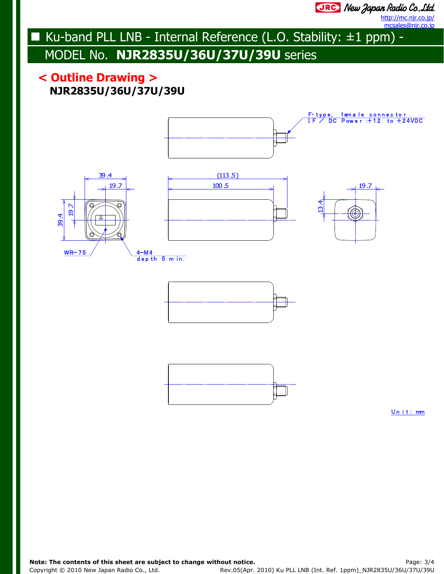JRC New Japan Radio Co., Ltd.

http://mc.njr.co.jp/ mcsales@njr.co.jp

# Ku-band PLL LNB - Internal Reference (L.O. Stability: ±1 ppm) - MODEL No. **NJR2835U/36U/37U/39U** series

## **NJR2835U/36U/37U/39U < Outline Drawing >**



Un it: mm